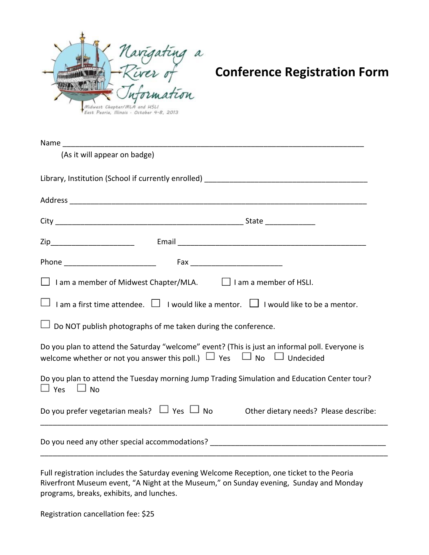

| (As it will appear on badge)                                                                                                                                                           |
|----------------------------------------------------------------------------------------------------------------------------------------------------------------------------------------|
|                                                                                                                                                                                        |
|                                                                                                                                                                                        |
|                                                                                                                                                                                        |
|                                                                                                                                                                                        |
|                                                                                                                                                                                        |
| □ I am a member of Midwest Chapter/MLA. □ I am a member of HSLI.                                                                                                                       |
| $\Box$ I am a first time attendee. $\Box$ I would like a mentor. $\Box$ I would like to be a mentor.                                                                                   |
| $\Box$ Do NOT publish photographs of me taken during the conference.                                                                                                                   |
| Do you plan to attend the Saturday "welcome" event? (This is just an informal poll. Everyone is<br>welcome whether or not you answer this poll.) $\Box$ Yes $\Box$ No $\Box$ Undecided |
| Do you plan to attend the Tuesday morning Jump Trading Simulation and Education Center tour?<br>$\Box$ Yes $\Box$ No                                                                   |
| Do you prefer vegetarian meals? $\Box$ Yes $\Box$ No $\Box$ Other dietary needs? Please describe:                                                                                      |
| Do you need any other special accommodations? Do you need and the second section of the second section of the s                                                                        |

Full registration includes the Saturday evening Welcome Reception, one ticket to the Peoria Riverfront Museum event, "A Night at the Museum," on Sunday evening, Sunday and Monday programs, breaks, exhibits, and lunches.

Registration cancellation fee: \$25